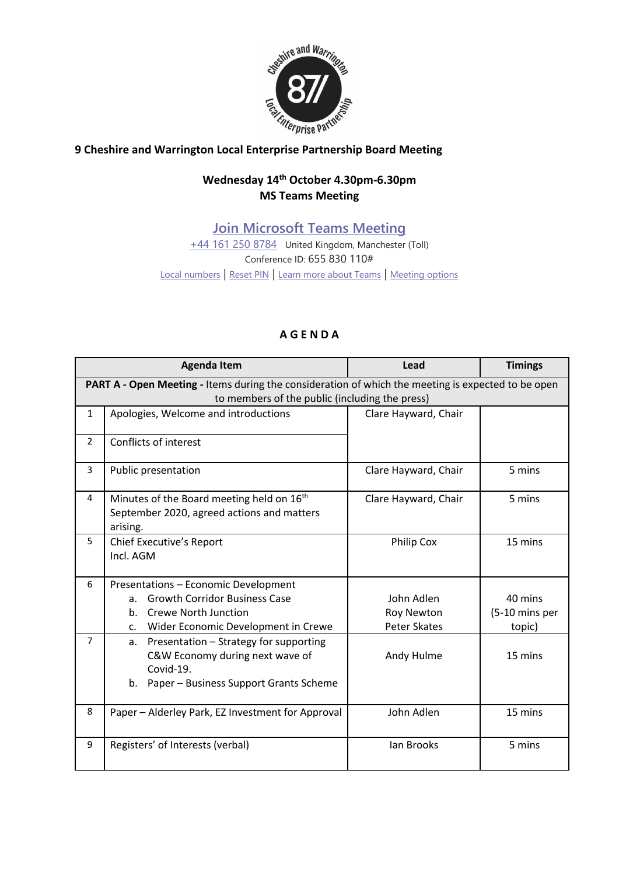

## **9** Cheshire and Warrington Local Enterprise Partnership Board Meeting

## **Wednesday 14 th October 4.30pm-6.30pm MS Teams Meeting**

**[Join Microsoft Teams Meeting](https://teams.microsoft.com/l/meetup-join/19%3ameeting_MDc5MzIxNzctNmM0Yy00MjcxLWI4YzItNmUzNmIyMDA5Yjk1%40thread.v2/0?context=%7b%22Tid%22%3a%229fdc30f0-07e8-4ece-96e4-5daef8d479d1%22%2c%22Oid%22%3a%226c5251ba-0d3a-40c0-b933-9dcb03aa1bd1%22%7d)**

[+44 161 250 8784](tel:+44%20161%20250%208784,,655830110# ) United Kingdom, Manchester (Toll) Conference ID: 655 830 110# [Local numbers](https://dialin.teams.microsoft.com/0ca4581d-68c3-4864-abb7-3231055cf0cf?id=655830110) | [Reset PIN](https://mysettings.lync.com/pstnconferencing) | [Learn more about Teams](https://aka.ms/JoinTeamsMeeting) | [Meeting options](https://teams.microsoft.com/meetingOptions/?organizerId=6c5251ba-0d3a-40c0-b933-9dcb03aa1bd1&tenantId=9fdc30f0-07e8-4ece-96e4-5daef8d479d1&threadId=19_meeting_MDc5MzIxNzctNmM0Yy00MjcxLWI4YzItNmUzNmIyMDA5Yjk1@thread.v2&messageId=0&language=en-US)

## **A G E N D A**

|                                                                                                    | <b>Agenda Item</b>                                                                                                                           | Lead                 | <b>Timings</b> |  |
|----------------------------------------------------------------------------------------------------|----------------------------------------------------------------------------------------------------------------------------------------------|----------------------|----------------|--|
| PART A - Open Meeting - Items during the consideration of which the meeting is expected to be open |                                                                                                                                              |                      |                |  |
| to members of the public (including the press)                                                     |                                                                                                                                              |                      |                |  |
| $\mathbf{1}$                                                                                       | Apologies, Welcome and introductions                                                                                                         | Clare Hayward, Chair |                |  |
| $\overline{2}$                                                                                     | Conflicts of interest                                                                                                                        |                      |                |  |
| 3                                                                                                  | Public presentation                                                                                                                          | Clare Hayward, Chair | 5 mins         |  |
| 4                                                                                                  | Minutes of the Board meeting held on 16 <sup>th</sup>                                                                                        | Clare Hayward, Chair | 5 mins         |  |
|                                                                                                    | September 2020, agreed actions and matters<br>arising.                                                                                       |                      |                |  |
| 5                                                                                                  | Chief Executive's Report                                                                                                                     | <b>Philip Cox</b>    | 15 mins        |  |
|                                                                                                    | Incl. AGM                                                                                                                                    |                      |                |  |
| 6                                                                                                  | Presentations - Economic Development                                                                                                         |                      |                |  |
|                                                                                                    | <b>Growth Corridor Business Case</b><br>a.                                                                                                   | John Adlen           | 40 mins        |  |
|                                                                                                    | Crewe North Junction<br>$h_{-}$                                                                                                              | Roy Newton           | (5-10 mins per |  |
|                                                                                                    | c. Wider Economic Development in Crewe                                                                                                       | <b>Peter Skates</b>  | topic)         |  |
| $\overline{7}$                                                                                     | Presentation - Strategy for supporting<br>a.<br>C&W Economy during next wave of<br>Covid-19.<br>Paper - Business Support Grants Scheme<br>b. | Andy Hulme           | 15 mins        |  |
|                                                                                                    |                                                                                                                                              |                      |                |  |
| 8                                                                                                  | Paper - Alderley Park, EZ Investment for Approval                                                                                            | John Adlen           | 15 mins        |  |
| 9                                                                                                  | Registers' of Interests (verbal)                                                                                                             | <b>Ian Brooks</b>    | 5 mins         |  |